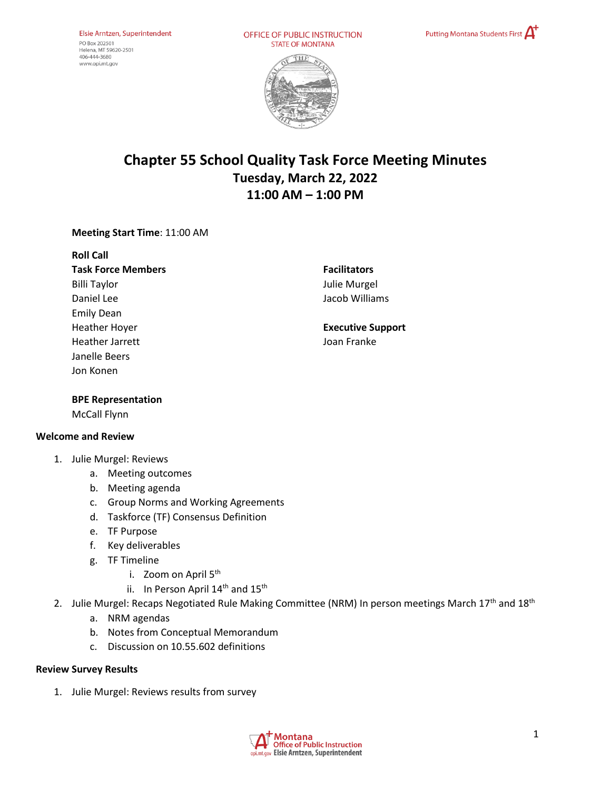OFFICE OF PUBLIC INSTRUCTION **STATE OF MONTANA** 





# **Chapter 55 School Quality Task Force Meeting Minutes Tuesday, March 22, 2022 11:00 AM – 1:00 PM**

### **Meeting Start Time**: 11:00 AM

| <b>Roll Call</b>          |                          |
|---------------------------|--------------------------|
| <b>Task Force Members</b> | <b>Facilitators</b>      |
| <b>Billi Taylor</b>       | Julie Murgel             |
| Daniel Lee                | Jacob Williams           |
| <b>Emily Dean</b>         |                          |
| <b>Heather Hoyer</b>      | <b>Executive Support</b> |
| <b>Heather Jarrett</b>    | Joan Franke              |
| Janelle Beers             |                          |
| Jon Konen                 |                          |

**BPE Representation** 

McCall Flynn

### **Welcome and Review**

- 1. Julie Murgel: Reviews
	- a. Meeting outcomes
	- b. Meeting agenda
	- c. Group Norms and Working Agreements
	- d. Taskforce (TF) Consensus Definition
	- e. TF Purpose
	- f. Key deliverables
	- g. TF Timeline
		- i. Zoom on April 5<sup>th</sup>
		- ii. In Person April  $14<sup>th</sup>$  and  $15<sup>th</sup>$
- 2. Julie Murgel: Recaps Negotiated Rule Making Committee (NRM) In person meetings March 17<sup>th</sup> and 18<sup>th</sup>
	- a. NRM agendas
	- b. Notes from Conceptual Memorandum
	- c. Discussion on 10.55.602 definitions

#### **Review Survey Results**

1. Julie Murgel: Reviews results from survey

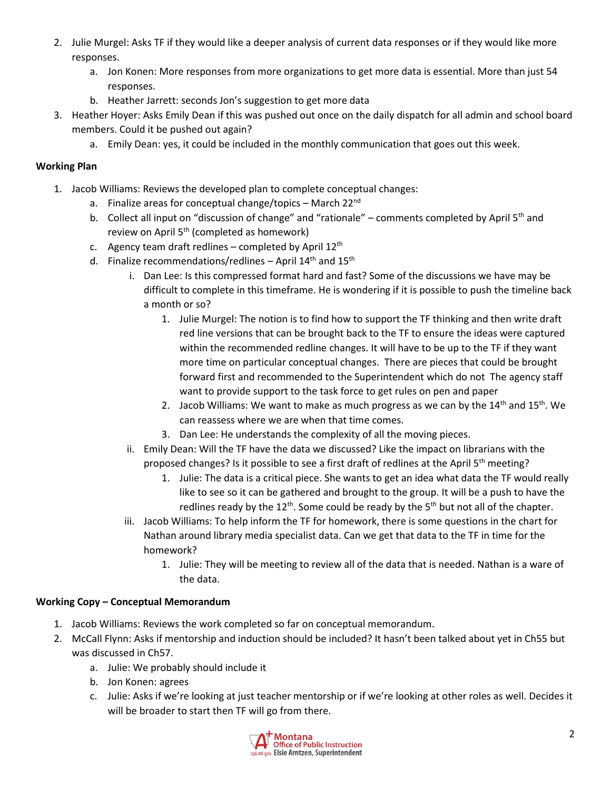- 2. Julie Murgel: Asks TF if they would like a deeper analysis of current data responses or if they would like more responses.
	- a. Jon Konen: More responses from more organizations to get more data is essential. More than just 54 responses.
	- b. Heather Jarrett: seconds Jon's suggestion to get more data
- 3. Heather Hoyer: Asks Emily Dean if this was pushed out once on the daily dispatch for all admin and school board members. Could it be pushed out again?
	- a. Emily Dean: yes, it could be included in the monthly communication that goes out this week.

# **Working Plan**

- 1. Jacob Williams: Reviews the developed plan to complete conceptual changes:
	- a. Finalize areas for conceptual change/topics March  $22^{nd}$
	- b. Collect all input on "discussion of change" and "rationale" comments completed by April  $5<sup>th</sup>$  and review on April 5<sup>th</sup> (completed as homework)
	- c. Agency team draft redlines completed by April  $12<sup>th</sup>$
	- d. Finalize recommendations/redlines April  $14<sup>th</sup>$  and  $15<sup>th</sup>$ 
		- i. Dan Lee: Is this compressed format hard and fast? Some of the discussions we have may be difficult to complete in this timeframe. He is wondering if it is possible to push the timeline back a month or so?
			- 1. Julie Murgel: The notion is to find how to support the TF thinking and then write draft red line versions that can be brought back to the TF to ensure the ideas were captured within the recommended redline changes. It will have to be up to the TF if they want more time on particular conceptual changes. There are pieces that could be brought forward first and recommended to the Superintendent which do not The agency staff want to provide support to the task force to get rules on pen and paper
			- 2. Jacob Williams: We want to make as much progress as we can by the  $14<sup>th</sup>$  and  $15<sup>th</sup>$ . We can reassess where we are when that time comes.
			- 3. Dan Lee: He understands the complexity of all the moving pieces.
		- ii. Emily Dean: Will the TF have the data we discussed? Like the impact on librarians with the proposed changes? Is it possible to see a first draft of redlines at the April  $5<sup>th</sup>$  meeting?
			- 1. Julie: The data is a critical piece. She wants to get an idea what data the TF would really like to see so it can be gathered and brought to the group. It will be a push to have the redlines ready by the  $12^{th}$ . Some could be ready by the  $5^{th}$  but not all of the chapter.
		- iii. Jacob Williams: To help inform the TF for homework, there is some questions in the chart for Nathan around library media specialist data. Can we get that data to the TF in time for the homework?
			- 1. Julie: They will be meeting to review all of the data that is needed. Nathan is a ware of the data.

# **Working Copy – Conceptual Memorandum**

- 1. Jacob Williams: Reviews the work completed so far on conceptual memorandum.
- 2. McCall Flynn: Asks if mentorship and induction should be included? It hasn't been talked about yet in Ch55 but was discussed in Ch57.
	- a. Julie: We probably should include it
	- b. Jon Konen: agrees
	- c. Julie: Asks if we're looking at just teacher mentorship or if we're looking at other roles as well. Decides it will be broader to start then TF will go from there.

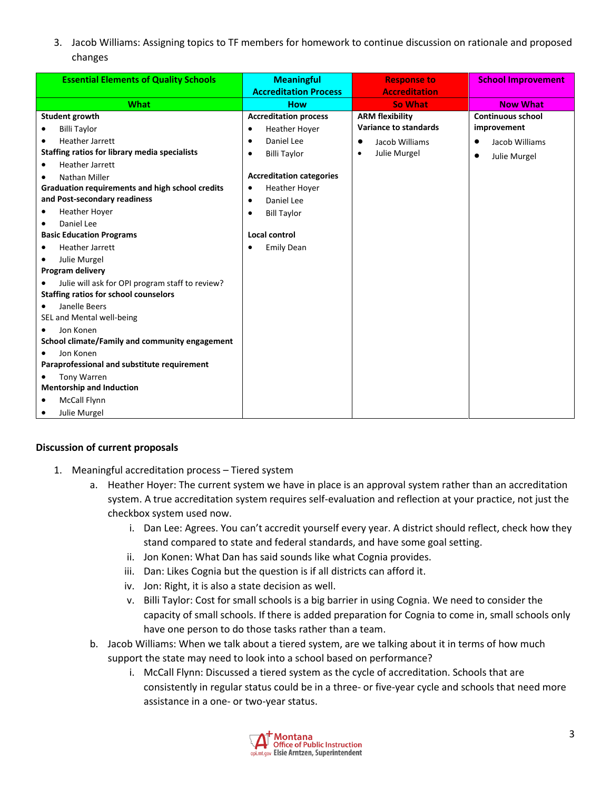3. Jacob Williams: Assigning topics to TF members for homework to continue discussion on rationale and proposed changes

| <b>Essential Elements of Quality Schools</b>    | <b>Meaningful</b><br><b>Accreditation Process</b> | <b>Response to</b><br><b>Accreditation</b> | <b>School Improvement</b> |
|-------------------------------------------------|---------------------------------------------------|--------------------------------------------|---------------------------|
| What                                            | <b>How</b>                                        | <b>So What</b>                             | <b>Now What</b>           |
| Student growth                                  | <b>Accreditation process</b>                      | <b>ARM flexibility</b>                     | <b>Continuous school</b>  |
| <b>Billi Taylor</b>                             | <b>Heather Hover</b><br>$\bullet$                 | <b>Variance to standards</b>               | improvement               |
| <b>Heather Jarrett</b>                          | Daniel Lee<br>$\bullet$                           | Jacob Williams                             | Jacob Williams            |
| Staffing ratios for library media specialists   | <b>Billi Taylor</b><br>٠                          | Julie Murgel                               | Julie Murgel              |
| <b>Heather Jarrett</b>                          |                                                   |                                            |                           |
| Nathan Miller                                   | <b>Accreditation categories</b>                   |                                            |                           |
| Graduation requirements and high school credits | Heather Hoyer<br>$\bullet$                        |                                            |                           |
| and Post-secondary readiness                    | Daniel Lee<br>٠                                   |                                            |                           |
| <b>Heather Hoyer</b>                            | <b>Bill Taylor</b><br>$\bullet$                   |                                            |                           |
| Daniel Lee<br>$\bullet$                         |                                                   |                                            |                           |
| <b>Basic Education Programs</b>                 | Local control                                     |                                            |                           |
| <b>Heather Jarrett</b><br>٠                     | <b>Emily Dean</b>                                 |                                            |                           |
| Julie Murgel<br>$\bullet$                       |                                                   |                                            |                           |
| Program delivery                                |                                                   |                                            |                           |
| Julie will ask for OPI program staff to review? |                                                   |                                            |                           |
| <b>Staffing ratios for school counselors</b>    |                                                   |                                            |                           |
| Janelle Beers<br>٠                              |                                                   |                                            |                           |
| SEL and Mental well-being                       |                                                   |                                            |                           |
| Jon Konen                                       |                                                   |                                            |                           |
| School climate/Family and community engagement  |                                                   |                                            |                           |
| Jon Konen                                       |                                                   |                                            |                           |
| Paraprofessional and substitute requirement     |                                                   |                                            |                           |
| Tony Warren                                     |                                                   |                                            |                           |
| <b>Mentorship and Induction</b>                 |                                                   |                                            |                           |
| McCall Flynn                                    |                                                   |                                            |                           |
| Julie Murgel<br>٠                               |                                                   |                                            |                           |

### **Discussion of current proposals**

- 1. Meaningful accreditation process Tiered system
	- a. Heather Hoyer: The current system we have in place is an approval system rather than an accreditation system. A true accreditation system requires self-evaluation and reflection at your practice, not just the checkbox system used now.
		- i. Dan Lee: Agrees. You can't accredit yourself every year. A district should reflect, check how they stand compared to state and federal standards, and have some goal setting.
		- ii. Jon Konen: What Dan has said sounds like what Cognia provides.
		- iii. Dan: Likes Cognia but the question is if all districts can afford it.
		- iv. Jon: Right, it is also a state decision as well.
		- v. Billi Taylor: Cost for small schools is a big barrier in using Cognia. We need to consider the capacity of small schools. If there is added preparation for Cognia to come in, small schools only have one person to do those tasks rather than a team.
	- b. Jacob Williams: When we talk about a tiered system, are we talking about it in terms of how much support the state may need to look into a school based on performance?
		- i. McCall Flynn: Discussed a tiered system as the cycle of accreditation. Schools that are consistently in regular status could be in a three- or five-year cycle and schools that need more assistance in a one- or two-year status.